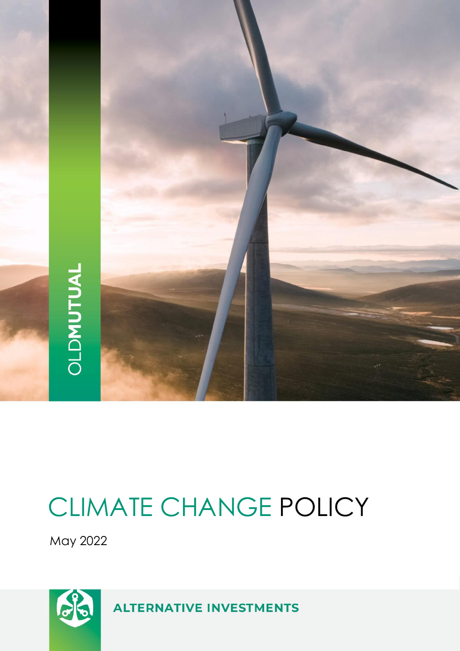

# CLIMATE CHANGE POLICY

May 2022

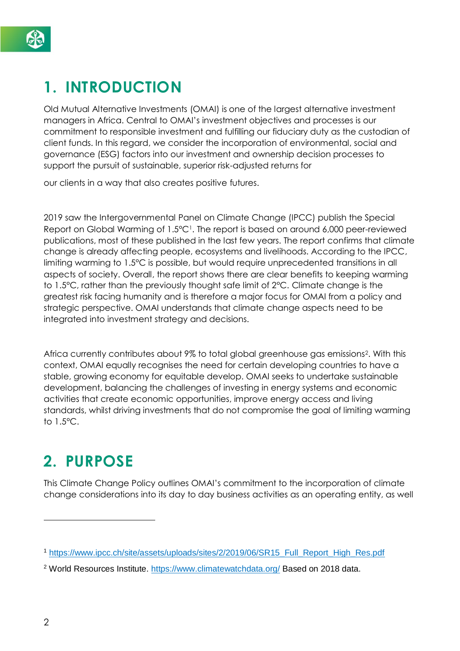

# **1. INTRODUCTION**

Old Mutual Alternative Investments (OMAI) is one of the largest alternative investment managers in Africa. Central to OMAI's investment objectives and processes is our commitment to responsible investment and fulfilling our fiduciary duty as the custodian of client funds. In this regard, we consider the incorporation of environmental, social and governance (ESG) factors into our investment and ownership decision processes to support the pursuit of sustainable, superior risk-adjusted returns for

our clients in a way that also creates positive futures.

2019 saw the Intergovernmental Panel on Climate Change (IPCC) publish the Special Report on Global Warming of 1.5°C<sup>1</sup>. The report is based on around 6,000 peer-reviewed publications, most of these published in the last few years. The report confirms that climate change is already affecting people, ecosystems and livelihoods. According to the IPCC, limiting warming to 1.5°C is possible, but would require unprecedented transitions in all aspects of society. Overall, the report shows there are clear benefits to keeping warming to 1.5°C, rather than the previously thought safe limit of 2°C. Climate change is the greatest risk facing humanity and is therefore a major focus for OMAI from a policy and strategic perspective. OMAI understands that climate change aspects need to be integrated into investment strategy and decisions.

Africa currently contributes about 9% to total global greenhouse gas emissions<sup>2</sup> . With this context, OMAI equally recognises the need for certain developing countries to have a stable, growing economy for equitable develop. OMAI seeks to undertake sustainable development, balancing the challenges of investing in energy systems and economic activities that create economic opportunities, improve energy access and living standards, whilst driving investments that do not compromise the goal of limiting warming to 1.5°C.

# **2. PURPOSE**

This Climate Change Policy outlines OMAI's commitment to the incorporation of climate change considerations into its day to day business activities as an operating entity, as well

 $\overline{a}$ 

<sup>1</sup> [https://www.ipcc.ch/site/assets/uploads/sites/2/2019/06/SR15\\_Full\\_Report\\_High\\_Res.pdf](https://www.ipcc.ch/site/assets/uploads/sites/2/2019/06/SR15_Full_Report_High_Res.pdf)

<sup>&</sup>lt;sup>2</sup> World Resources Institute.<https://www.climatewatchdata.org/> Based on 2018 data.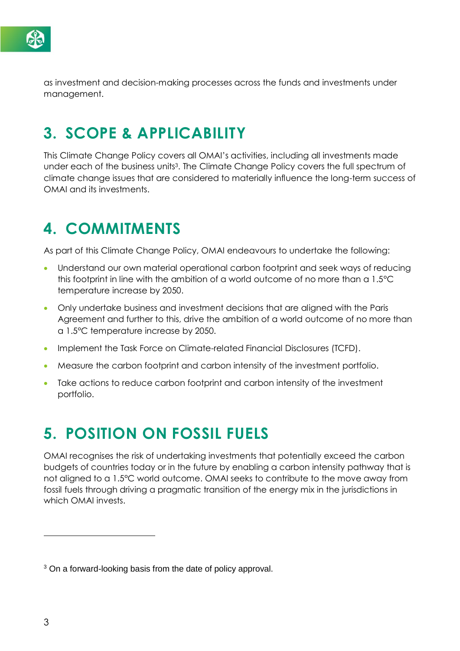

as investment and decision-making processes across the funds and investments under management.

# **3. SCOPE & APPLICABILITY**

This Climate Change Policy covers all OMAI's activities, including all investments made under each of the business units<sup>3</sup>. The Climate Change Policy covers the full spectrum of climate change issues that are considered to materially influence the long-term success of OMAI and its investments.

# **4. COMMITMENTS**

As part of this Climate Change Policy, OMAI endeavours to undertake the following:

- Understand our own material operational carbon footprint and seek ways of reducing this footprint in line with the ambition of a world outcome of no more than a 1.5°C temperature increase by 2050.
- Only undertake business and investment decisions that are aligned with the Paris Agreement and further to this, drive the ambition of a world outcome of no more than a 1.5°C temperature increase by 2050.
- Implement the Task Force on Climate-related Financial Disclosures (TCFD).
- Measure the carbon footprint and carbon intensity of the investment portfolio.
- Take actions to reduce carbon footprint and carbon intensity of the investment portfolio.

# **5. POSITION ON FOSSIL FUELS**

OMAI recognises the risk of undertaking investments that potentially exceed the carbon budgets of countries today or in the future by enabling a carbon intensity pathway that is not aligned to a 1.5°C world outcome. OMAI seeks to contribute to the move away from fossil fuels through driving a pragmatic transition of the energy mix in the jurisdictions in which OMAI invests.

-

<sup>&</sup>lt;sup>3</sup> On a forward-looking basis from the date of policy approval.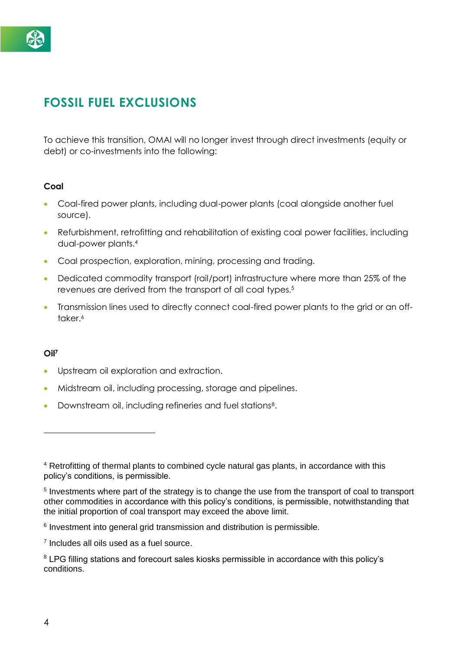

### **FOSSIL FUEL EXCLUSIONS**

To achieve this transition, OMAI will no longer invest through direct investments (equity or debt) or co-investments into the following:

#### **Coal**

- Coal-fired power plants, including dual-power plants (coal alongside another fuel source).
- Refurbishment, retrofitting and rehabilitation of existing coal power facilities, including dual-power plants.<sup>4</sup>
- Coal prospection, exploration, mining, processing and trading.
- Dedicated commodity transport (rail/port) infrastructure where more than 25% of the revenues are derived from the transport of all coal types.<sup>5</sup>
- Transmission lines used to directly connect coal-fired power plants to the grid or an offtaker.<sup>6</sup>

#### **Oil<sup>7</sup>**

-

- Upstream oil exploration and extraction.
- Midstream oil, including processing, storage and pipelines.
- Downstream oil, including refineries and fuel stations<sup>8</sup>.

<sup>&</sup>lt;sup>4</sup> Retrofitting of thermal plants to combined cycle natural gas plants, in accordance with this policy's conditions, is permissible.

<sup>&</sup>lt;sup>5</sup> Investments where part of the strategy is to change the use from the transport of coal to transport other commodities in accordance with this policy's conditions, is permissible, notwithstanding that the initial proportion of coal transport may exceed the above limit.

<sup>&</sup>lt;sup>6</sup> Investment into general grid transmission and distribution is permissible.

<sup>&</sup>lt;sup>7</sup> Includes all oils used as a fuel source.

<sup>&</sup>lt;sup>8</sup> LPG filling stations and forecourt sales kiosks permissible in accordance with this policy's conditions.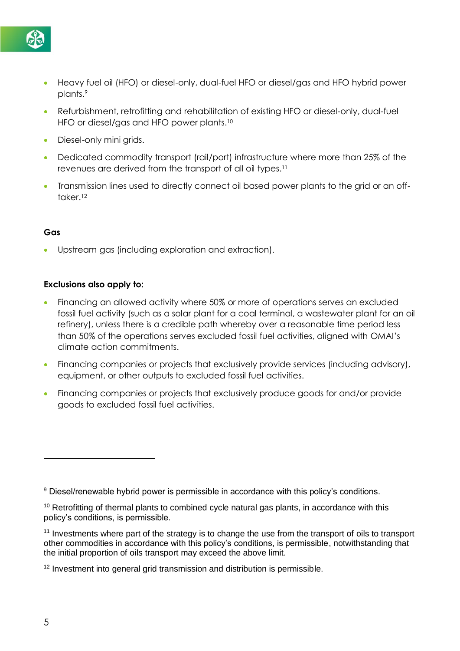

- Heavy fuel oil (HFO) or diesel-only, dual-fuel HFO or diesel/gas and HFO hybrid power plants.<sup>9</sup>
- Refurbishment, retrofitting and rehabilitation of existing HFO or diesel-only, dual-fuel HFO or diesel/gas and HFO power plants.<sup>10</sup>
- Diesel-only mini grids.
- Dedicated commodity transport (rail/port) infrastructure where more than 25% of the revenues are derived from the transport of all oil types.<sup>11</sup>
- Transmission lines used to directly connect oil based power plants to the grid or an offtaker.<sup>12</sup>

#### **Gas**

Upstream gas (including exploration and extraction).

#### **Exclusions also apply to:**

- Financing an allowed activity where 50% or more of operations serves an excluded fossil fuel activity (such as a solar plant for a coal terminal, a wastewater plant for an oil refinery), unless there is a credible path whereby over a reasonable time period less than 50% of the operations serves excluded fossil fuel activities, aligned with OMAI's climate action commitments.
- Financing companies or projects that exclusively provide services (including advisory), equipment, or other outputs to excluded fossil fuel activities.
- Financing companies or projects that exclusively produce goods for and/or provide goods to excluded fossil fuel activities.

 $\overline{a}$ 

<sup>9</sup> Diesel/renewable hybrid power is permissible in accordance with this policy's conditions.

 $10$  Retrofitting of thermal plants to combined cycle natural gas plants, in accordance with this policy's conditions, is permissible.

 $11$  Investments where part of the strategy is to change the use from the transport of oils to transport other commodities in accordance with this policy's conditions, is permissible, notwithstanding that the initial proportion of oils transport may exceed the above limit.

 $12$  Investment into general grid transmission and distribution is permissible.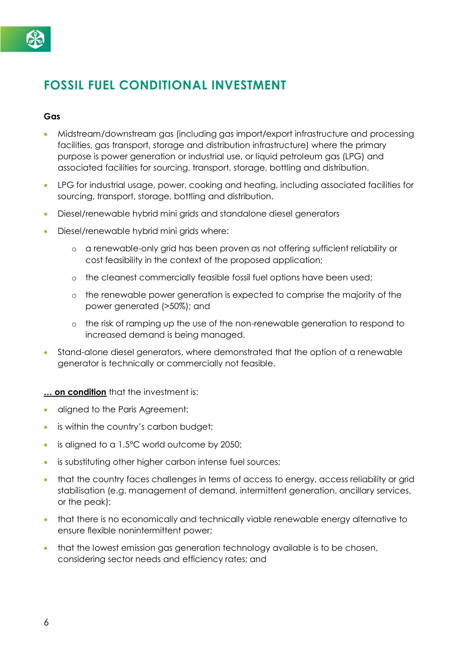

### **FOSSIL FUEL CONDITIONAL INVESTMENT**

#### **Gas**

- Midstream/downstream gas (including gas import/export infrastructure and processing facilities, gas transport, storage and distribution infrastructure) where the primary purpose is power generation or industrial use, or liquid petroleum gas (LPG) and associated facilities for sourcing, transport, storage, bottling and distribution.
- LPG for industrial usage, power, cooking and heating, including associated facilities for sourcing, transport, storage, bottling and distribution.
- Diesel/renewable hybrid mini grids and standalone diesel generators
- Diesel/renewable hybrid mini grids where:
	- o a renewable-only grid has been proven as not offering sufficient reliability or cost feasibility in the context of the proposed application;
	- o the cleanest commercially feasible fossil fuel options have been used;
	- o the renewable power generation is expected to comprise the majority of the power generated (>50%); and
	- o the risk of ramping up the use of the non-renewable generation to respond to increased demand is being managed.
- Stand-alone diesel generators, where demonstrated that the option of a renewable generator is technically or commercially not feasible.

**… on condition** that the investment is:

- aligned to the Paris Agreement;
- is within the country's carbon budget;
- is aligned to a 1.5°C world outcome by 2050;
- is substituting other higher carbon intense fuel sources;
- that the country faces challenges in terms of access to energy, access reliability or grid stabilisation (e.g. management of demand, intermittent generation, ancillary services, or the peak);
- that there is no economically and technically viable renewable energy alternative to ensure flexible nonintermittent power;
- that the lowest emission gas generation technology available is to be chosen, considering sector needs and efficiency rates; and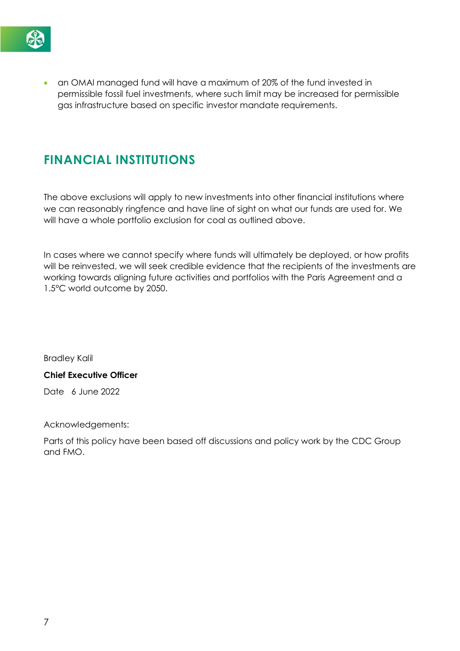

 an OMAI managed fund will have a maximum of 20% of the fund invested in permissible fossil fuel investments, where such limit may be increased for permissible gas infrastructure based on specific investor mandate requirements.

### **FINANCIAL INSTITUTIONS**

The above exclusions will apply to new investments into other financial institutions where we can reasonably ringfence and have line of sight on what our funds are used for. We will have a whole portfolio exclusion for coal as outlined above.

In cases where we cannot specify where funds will ultimately be deployed, or how profits will be reinvested, we will seek credible evidence that the recipients of the investments are working towards aligning future activities and portfolios with the Paris Agreement and a 1.5°C world outcome by 2050.

Bradley Kalil

#### **Chief Executive Officer**

Date 6 June 2022

#### Acknowledgements:

Parts of this policy have been based off discussions and policy work by the CDC Group and FMO.